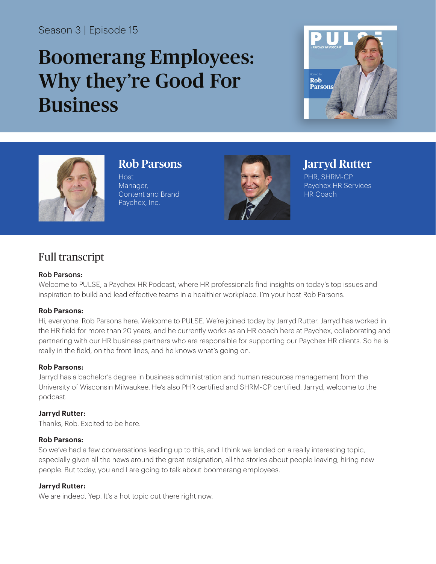# Season 3 | Episode 15

# Boomerang Employees: Why they're Good For Business





Rob Parsons

Host Manager, Content and Brand Paychex, Inc.



# Jarryd Rutter

PHR, SHRM-CP Paychex HR Services HR Coach

# Full transcript

# Rob Parsons:

Welcome to PULSE, a Paychex HR Podcast, where HR professionals find insights on today's top issues and inspiration to build and lead effective teams in a healthier workplace. I'm your host Rob Parsons.

#### **Rob Parsons:**

Hi, everyone. Rob Parsons here. Welcome to PULSE. We're joined today by Jarryd Rutter. Jarryd has worked in the HR field for more than 20 years, and he currently works as an HR coach here at Paychex, collaborating and partnering with our HR business partners who are responsible for supporting our Paychex HR clients. So he is really in the field, on the front lines, and he knows what's going on.

#### **Rob Parsons:**

Jarryd has a bachelor's degree in business administration and human resources management from the University of Wisconsin Milwaukee. He's also PHR certified and SHRM-CP certified. Jarryd, welcome to the podcast.

# **Jarryd Rutter:**

Thanks, Rob. Excited to be here.

#### **Rob Parsons:**

So we've had a few conversations leading up to this, and I think we landed on a really interesting topic, especially given all the news around the great resignation, all the stories about people leaving, hiring new people. But today, you and I are going to talk about boomerang employees.

# **Jarryd Rutter:**

We are indeed. Yep. It's a hot topic out there right now.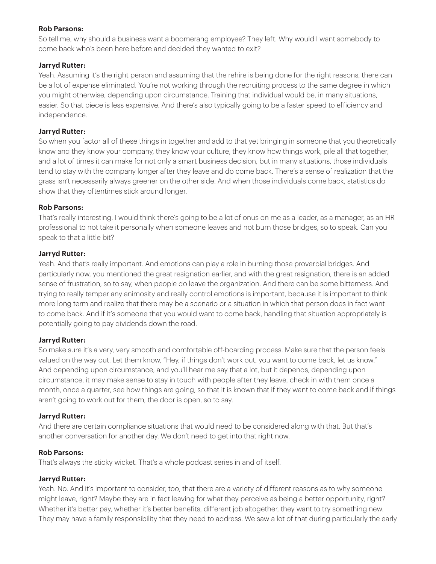# **Rob Parsons:**

So tell me, why should a business want a boomerang employee? They left. Why would I want somebody to come back who's been here before and decided they wanted to exit?

# **Jarryd Rutter:**

Yeah. Assuming it's the right person and assuming that the rehire is being done for the right reasons, there can be a lot of expense eliminated. You're not working through the recruiting process to the same degree in which you might otherwise, depending upon circumstance. Training that individual would be, in many situations, easier. So that piece is less expensive. And there's also typically going to be a faster speed to efficiency and independence.

#### **Jarryd Rutter:**

So when you factor all of these things in together and add to that yet bringing in someone that you theoretically know and they know your company, they know your culture, they know how things work, pile all that together, and a lot of times it can make for not only a smart business decision, but in many situations, those individuals tend to stay with the company longer after they leave and do come back. There's a sense of realization that the grass isn't necessarily always greener on the other side. And when those individuals come back, statistics do show that they oftentimes stick around longer.

# **Rob Parsons:**

That's really interesting. I would think there's going to be a lot of onus on me as a leader, as a manager, as an HR professional to not take it personally when someone leaves and not burn those bridges, so to speak. Can you speak to that a little bit?

#### **Jarryd Rutter:**

Yeah. And that's really important. And emotions can play a role in burning those proverbial bridges. And particularly now, you mentioned the great resignation earlier, and with the great resignation, there is an added sense of frustration, so to say, when people do leave the organization. And there can be some bitterness. And trying to really temper any animosity and really control emotions is important, because it is important to think more long term and realize that there may be a scenario or a situation in which that person does in fact want to come back. And if it's someone that you would want to come back, handling that situation appropriately is potentially going to pay dividends down the road.

#### **Jarryd Rutter:**

So make sure it's a very, very smooth and comfortable off-boarding process. Make sure that the person feels valued on the way out. Let them know, "Hey, if things don't work out, you want to come back, let us know." And depending upon circumstance, and you'll hear me say that a lot, but it depends, depending upon circumstance, it may make sense to stay in touch with people after they leave, check in with them once a month, once a quarter, see how things are going, so that it is known that if they want to come back and if things aren't going to work out for them, the door is open, so to say.

#### **Jarryd Rutter:**

And there are certain compliance situations that would need to be considered along with that. But that's another conversation for another day. We don't need to get into that right now.

#### **Rob Parsons:**

That's always the sticky wicket. That's a whole podcast series in and of itself.

#### **Jarryd Rutter:**

Yeah. No. And it's important to consider, too, that there are a variety of different reasons as to why someone might leave, right? Maybe they are in fact leaving for what they perceive as being a better opportunity, right? Whether it's better pay, whether it's better benefits, different job altogether, they want to try something new. They may have a family responsibility that they need to address. We saw a lot of that during particularly the early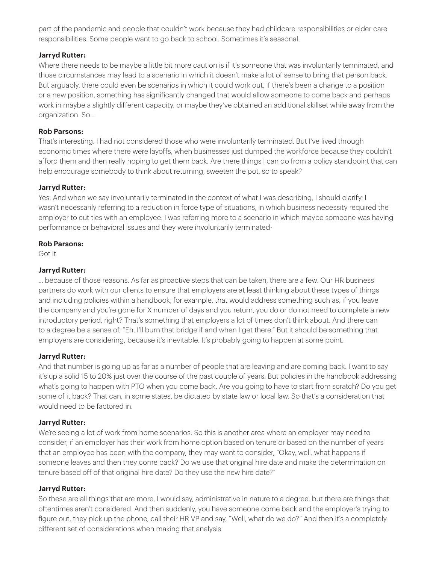part of the pandemic and people that couldn't work because they had childcare responsibilities or elder care responsibilities. Some people want to go back to school. Sometimes it's seasonal.

# **Jarryd Rutter:**

Where there needs to be maybe a little bit more caution is if it's someone that was involuntarily terminated, and those circumstances may lead to a scenario in which it doesn't make a lot of sense to bring that person back. But arguably, there could even be scenarios in which it could work out, if there's been a change to a position or a new position, something has significantly changed that would allow someone to come back and perhaps work in maybe a slightly different capacity, or maybe they've obtained an additional skillset while away from the organization. So...

# **Rob Parsons:**

That's interesting. I had not considered those who were involuntarily terminated. But I've lived through economic times where there were layoffs, when businesses just dumped the workforce because they couldn't afford them and then really hoping to get them back. Are there things I can do from a policy standpoint that can help encourage somebody to think about returning, sweeten the pot, so to speak?

#### **Jarryd Rutter:**

Yes. And when we say involuntarily terminated in the context of what I was describing, I should clarify. I wasn't necessarily referring to a reduction in force type of situations, in which business necessity required the employer to cut ties with an employee. I was referring more to a scenario in which maybe someone was having performance or behavioral issues and they were involuntarily terminated-

#### **Rob Parsons:**

Got it.

# **Jarryd Rutter:**

... because of those reasons. As far as proactive steps that can be taken, there are a few. Our HR business partners do work with our clients to ensure that employers are at least thinking about these types of things and including policies within a handbook, for example, that would address something such as, if you leave the company and you're gone for X number of days and you return, you do or do not need to complete a new introductory period, right? That's something that employers a lot of times don't think about. And there can to a degree be a sense of, "Eh, I'll burn that bridge if and when I get there." But it should be something that employers are considering, because it's inevitable. It's probably going to happen at some point.

# **Jarryd Rutter:**

And that number is going up as far as a number of people that are leaving and are coming back. I want to say it's up a solid 15 to 20% just over the course of the past couple of years. But policies in the handbook addressing what's going to happen with PTO when you come back. Are you going to have to start from scratch? Do you get some of it back? That can, in some states, be dictated by state law or local law. So that's a consideration that would need to be factored in.

#### **Jarryd Rutter:**

We're seeing a lot of work from home scenarios. So this is another area where an employer may need to consider, if an employer has their work from home option based on tenure or based on the number of years that an employee has been with the company, they may want to consider, "Okay, well, what happens if someone leaves and then they come back? Do we use that original hire date and make the determination on tenure based off of that original hire date? Do they use the new hire date?"

#### **Jarryd Rutter:**

So these are all things that are more, I would say, administrative in nature to a degree, but there are things that oftentimes aren't considered. And then suddenly, you have someone come back and the employer's trying to figure out, they pick up the phone, call their HR VP and say, "Well, what do we do?" And then it's a completely different set of considerations when making that analysis.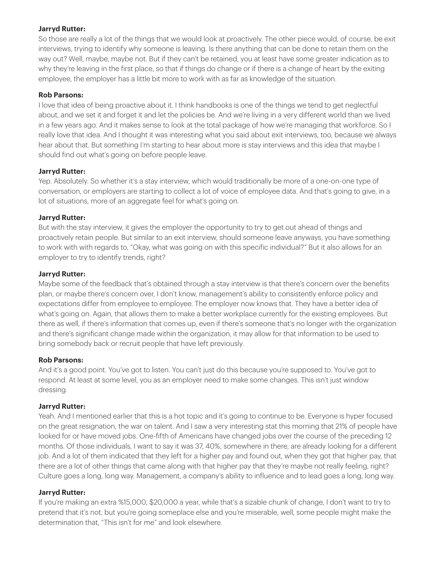# **Jarryd Rutter:**

So those are really a lot of the things that we would look at proactively. The other piece would, of course, be exit interviews, trying to identify why someone is leaving. Is there anything that can be done to retain them on the way out? Well, maybe, maybe not. But if they can't be retained, you at least have some greater indication as to why they're leaving in the first place, so that if things do change or if there is a change of heart by the exiting employee, the employer has a little bit more to work with as far as knowledge of the situation.

# **Rob Parsons:**

I love that idea of being proactive about it. I think handbooks is one of the things we tend to get neglectful about, and we set it and forget it and let the policies be. And we're living in a very different world than we lived in a few years ago. And it makes sense to look at the total package of how we're managing that workforce. So I really love that idea. And I thought it was interesting what you said about exit interviews, too, because we always hear about that. But something I'm starting to hear about more is stay interviews and this idea that maybe I should find out what's going on before people leave.

# **Jarryd Rutter:**

Yep. Absolutely. So whether it's a stay interview, which would traditionally be more of a one-on-one type of conversation, or employers are starting to collect a lot of voice of employee data. And that's going to give, in a lot of situations, more of an aggregate feel for what's going on.

# **Jarryd Rutter:**

But with the stay interview, it gives the employer the opportunity to try to get out ahead of things and proactively retain people. But similar to an exit interview, should someone leave anyways, you have something to work with with regards to, "Okay, what was going on with this specific individual?" But it also allows for an employer to try to identify trends, right?

# **Jarryd Rutter:**

Maybe some of the feedback that's obtained through a stay interview is that there's concern over the benefits plan, or maybe there's concern over, I don't know, management's ability to consistently enforce policy and expectations differ from employee to employee. The employer now knows that. They have a better idea of what's going on. Again, that allows them to make a better workplace currently for the existing employees. But there as well, if there's information that comes up, even if there's someone that's no longer with the organization and there's significant change made within the organization, it may allow for that information to be used to bring somebody back or recruit people that have left previously.

# **Rob Parsons:**

And it's a good point. You've got to listen. You can't just do this because you're supposed to. You've got to respond. At least at some level, you as an employer need to make some changes. This isn't just window dressing.

# **Jarryd Rutter:**

Yeah. And I mentioned earlier that this is a hot topic and it's going to continue to be. Everyone is hyper focused on the great resignation, the war on talent. And I saw a very interesting stat this morning that 21% of people have looked for or have moved jobs. One-fifth of Americans have changed jobs over the course of the preceding 12 months. Of those individuals, I want to say it was 37, 40%, somewhere in there, are already looking for a different job. And a lot of them indicated that they left for a higher pay and found out, when they got that higher pay, that there are a lot of other things that came along with that higher pay that they're maybe not really feeling, right? Culture goes a long, long way. Management, a company's ability to influence and to lead goes a long, long way.

#### **Jarryd Rutter:**

If you're making an extra %15,000, \$20,000 a year, while that's a sizable chunk of change, I don't want to try to pretend that it's not, but you're going someplace else and you're miserable, well, some people might make the determination that, "This isn't for me" and look elsewhere.